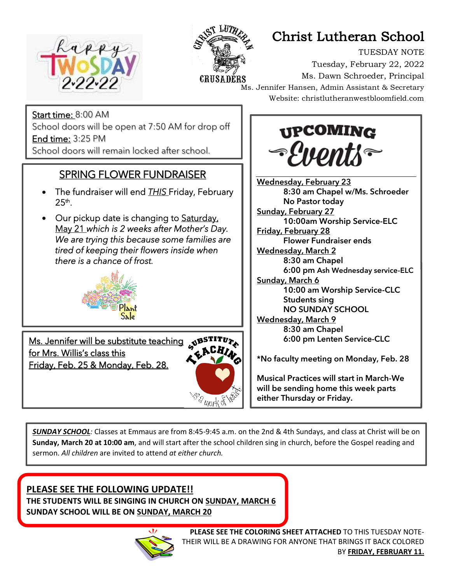

Į

j



# Christ Lutheran School

TUESDAY NOTE Tuesday, February 22, 2022 Ms. Dawn Schroeder, Principal Ms. Jennifer Hansen, Admin Assistant & Secretary Website: christlutheranwestbloomfield.com

Start time: 8:00 AM School doors will be open at 7:50 AM for drop off End time: 3:25 PM School doors will remain locked after school.

### SPRING FLOWER FUNDRAISER

- The fundraiser will end *THIS* Friday, February  $25^{\sf th}$ .
- Our pickup date is changing to Saturday, May 21 *which is 2 weeks after Mother's Day. We are trying this because some families are tired of keeping their flowers inside when there is a chance of frost.*



Ms. Jennifer will be substitute teaching NBSTITUZ for Mrs. Willis's class this Friday, Feb. 25 & Monday, Feb. 28.





Wednesday, February 23 8:30 am Chapel w/Ms. Schroeder No Pastor today **Sunday, February 27** 10:00am Worship Service-ELC Friday, February 28 Flower Fundraiser ends **Wednesday, March 2** 8:30 am Chapel **6:00 pm Ash Wednesday service-ELC** Sunday, March 6 10:00 am Worship Service-CLC Students sing NO SUNDAY SCHOOL Wednesday, March 9 8:30 am Chapel 6:00 pm Lenten Service-CLC \*No faculty meeting on Monday, Feb. 28

Musical Practices will start in March-We will be sending home this week parts either Thursday or Friday.

*SUNDAY SCHOOL:* Classes at Emmaus are from 8:45-9:45 a.m. on the 2nd & 4th Sundays, and class at Christ will be on **Sunday, March 20 at 10:00 am**, and will start after the school children sing in church, before the Gospel reading and sermon. *All children* are invited to attend *at either church.*

#### **PLEASE SEE THE FOLLOWING UPDATE!!**

**THE STUDENTS WILL BE SINGING IN CHURCH ON SUNDAY, MARCH 6 SUNDAY SCHOOL WILL BE ON SUNDAY, MARCH 20**

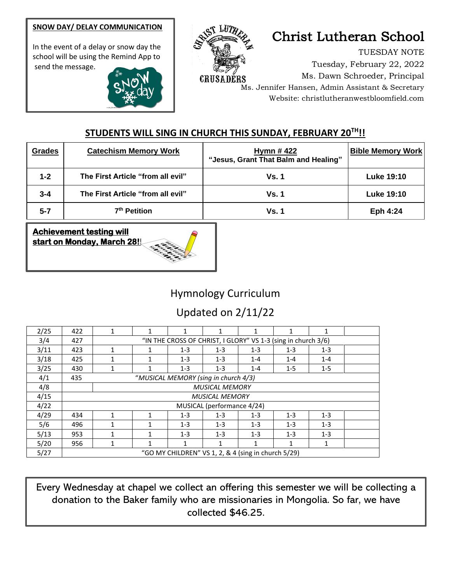#### **SNOW DAY/ DELAY COMMUNICATION**

In the event of a delay or snow day the school will be using the Remind App to send the message.





# Christ Lutheran School

TUESDAY NOTE Tuesday, February 22, 2022 Ms. Dawn Schroeder, Principal Ms. Jennifer Hansen, Admin Assistant & Secretary Website: christlutheranwestbloomfield.com

#### **STUDENTS WILL SING IN CHURCH THIS SUNDAY, FEBRUARY 20TH!!**

| <b>Grades</b> | <b>Catechism Memory Work</b>      | <b>Hymn #422</b><br>"Jesus, Grant That Balm and Healing" | <b>Bible Memory Work</b> |
|---------------|-----------------------------------|----------------------------------------------------------|--------------------------|
| $1 - 2$       | The First Article "from all evil" | <b>Vs. 1</b>                                             | <b>Luke 19:10</b>        |
| $3 - 4$       | The First Article "from all evil" | <b>Vs. 1</b>                                             | <b>Luke 19:10</b>        |
| $5 - 7$       | 7 <sup>th</sup> Petition          | <b>Vs. 1</b>                                             | Eph 4:24                 |



### Hymnology Curriculum

## Updated on 2/11/22

| 2/25 | 422                                                 | $\mathbf{1}$                                                  |   | 1       |         |         | 1       | $\mathbf{1}$ |  |  |  |
|------|-----------------------------------------------------|---------------------------------------------------------------|---|---------|---------|---------|---------|--------------|--|--|--|
| 3/4  | 427                                                 | "IN THE CROSS OF CHRIST, I GLORY" VS 1-3 (sing in church 3/6) |   |         |         |         |         |              |  |  |  |
| 3/11 | 423                                                 | 1                                                             |   | $1 - 3$ | $1 - 3$ | $1 - 3$ | $1 - 3$ | $1 - 3$      |  |  |  |
| 3/18 | 425                                                 | 1                                                             |   | $1 - 3$ | $1 - 3$ | $1 - 4$ | $1 - 4$ | $1 - 4$      |  |  |  |
| 3/25 | 430                                                 | $\mathbf{1}$                                                  |   | $1 - 3$ | $1 - 3$ | $1 - 4$ | $1 - 5$ | $1 - 5$      |  |  |  |
| 4/1  | 435                                                 | "MUSICAL MEMORY (sing in church 4/3)                          |   |         |         |         |         |              |  |  |  |
| 4/8  |                                                     | <b>MUSICAL MEMORY</b>                                         |   |         |         |         |         |              |  |  |  |
| 4/15 |                                                     | <b>MUSICAL MEMORY</b>                                         |   |         |         |         |         |              |  |  |  |
| 4/22 |                                                     | MUSICAL (performance 4/24)                                    |   |         |         |         |         |              |  |  |  |
| 4/29 | 434                                                 | 1                                                             | 1 | $1 - 3$ | $1 - 3$ | $1 - 3$ | $1 - 3$ | $1 - 3$      |  |  |  |
| 5/6  | 496                                                 | 1                                                             |   | $1 - 3$ | $1 - 3$ | $1 - 3$ | $1 - 3$ | $1 - 3$      |  |  |  |
| 5/13 | 953                                                 | 1                                                             | 1 | $1 - 3$ | $1 - 3$ | $1 - 3$ | $1 - 3$ | $1 - 3$      |  |  |  |
| 5/20 | 956                                                 | 1                                                             | 1 | 1       | 1       | 1       | 1       | 1            |  |  |  |
| 5/27 | "GO MY CHILDREN" VS 1, 2, & 4 (sing in church 5/29) |                                                               |   |         |         |         |         |              |  |  |  |

Every Wednesday at chapel we collect an offering this semester we will be collecting a donation to the Baker family who are missionaries in Mongolia. So far, we have collected \$46.25.